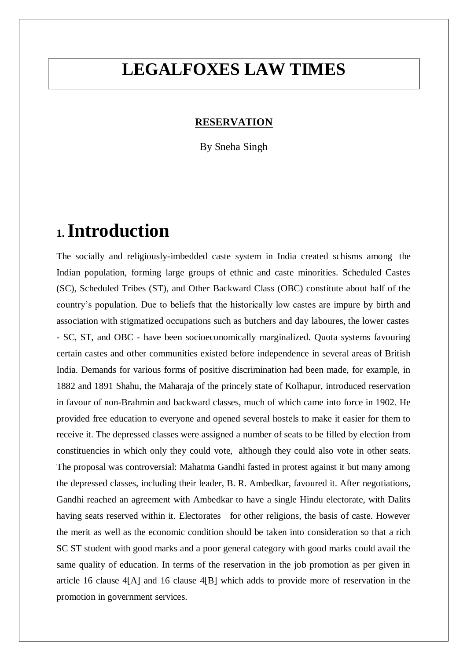## **LEGALFOXES LAW TIMES**

#### **RESERVATION**

By Sneha Singh

### **1.Introduction**

The socially and religiously-imbedded caste system in India created schisms among the Indian population, forming large groups of ethnic and caste minorities. Scheduled Castes (SC), Scheduled Tribes (ST), and Other Backward Class (OBC) constitute about half of the country's population. Due to beliefs that the historically low castes are impure by birth and association with stigmatized occupations such as butchers and day laboures, the lower castes - SC, ST, and OBC - have been socioeconomically marginalized. Quota systems favouring certain castes and other communities existed before independence in several areas of British India. Demands for various forms of positive discrimination had been made, for example, in 1882 and 1891 Shahu, the Maharaja of the princely state of Kolhapur, introduced reservation in favour of non-Brahmin and backward classes, much of which came into force in 1902. He provided free education to everyone and opened several hostels to make it easier for them to receive it. The depressed classes were assigned a number of seats to be filled by election from constituencies in which only they could vote, although they could also vote in other seats. The proposal was controversial: Mahatma Gandhi fasted in protest against it but many among the depressed classes, including their leader, B. R. Ambedkar, favoured it. After negotiations, Gandhi reached an agreement with Ambedkar to have a single Hindu electorate, with Dalits having seats reserved within it. Electorates for other religions, the basis of caste. However the merit as well as the economic condition should be taken into consideration so that a rich SC ST student with good marks and a poor general category with good marks could avail the same quality of education. In terms of the reservation in the job promotion as per given in article 16 clause 4[A] and 16 clause 4[B] which adds to provide more of reservation in the promotion in government services.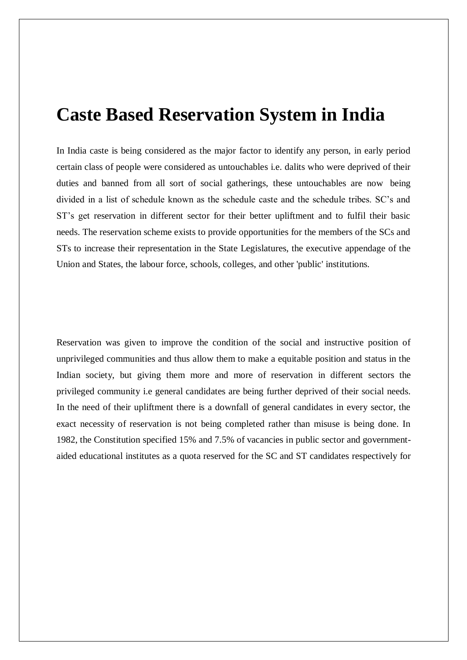#### **Caste Based Reservation System in India**

In India caste is being considered as the major factor to identify any person, in early period certain class of people were considered as untouchables i.e. dalits who were deprived of their duties and banned from all sort of social gatherings, these untouchables are now being divided in a list of schedule known as the schedule caste and the schedule tribes. SC's and ST's get reservation in different sector for their better upliftment and to fulfil their basic needs. The reservation scheme exists to provide opportunities for the members of the SCs and STs to increase their representation in the State Legislatures, the executive appendage of the Union and States, the labour force, schools, colleges, and other 'public' institutions.

Reservation was given to improve the condition of the social and instructive position of unprivileged communities and thus allow them to make a equitable position and status in the Indian society, but giving them more and more of reservation in different sectors the privileged community i.e general candidates are being further deprived of their social needs. In the need of their upliftment there is a downfall of general candidates in every sector, the exact necessity of reservation is not being completed rather than misuse is being done. In 1982, the Constitution specified 15% and 7.5% of vacancies in public sector and governmentaided educational institutes as a quota reserved for the SC and ST candidates respectively for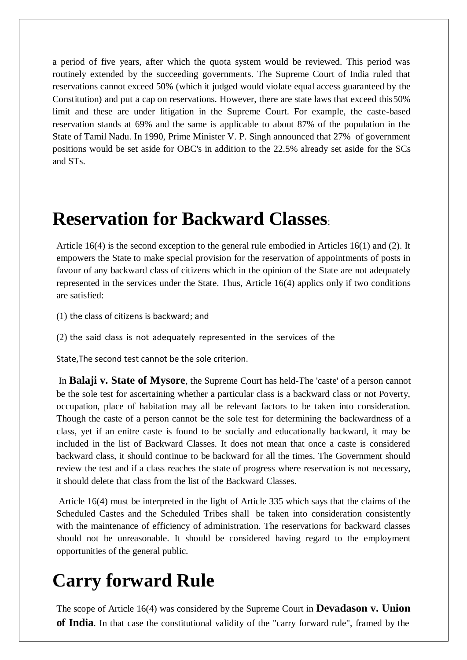a period of five years, after which the quota system would be reviewed. This period was routinely extended by the succeeding governments. The Supreme Court of India ruled that reservations cannot exceed 50% (which it judged would violate equal access guaranteed by the Constitution) and put a cap on reservations. However, there are state laws that exceed this50% limit and these are under litigation in the Supreme Court. For example, the caste-based reservation stands at 69% and the same is applicable to about 87% of the population in the State of Tamil Nadu. In 1990, Prime Minister V. P. Singh announced that 27% of government positions would be set aside for OBC's in addition to the 22.5% already set aside for the SCs and STs.

### **Reservation for Backward Classes**:

Article 16(4) is the second exception to the general rule embodied in Articles 16(1) and (2). It empowers the State to make special provision for the reservation of appointments of posts in favour of any backward class of citizens which in the opinion of the State are not adequately represented in the services under the State. Thus, Article 16(4) applics only if two conditions are satisfied:

(1) the class of citizens is backward; and

(2) the said class is not adequately represented in the services of the

State,The second test cannot be the sole criterion.

In **Balaji v. State of Mysore**, the Supreme Court has held-The 'caste' of a person cannot be the sole test for ascertaining whether a particular class is a backward class or not Poverty, occupation, place of habitation may all be relevant factors to be taken into consideration. Though the caste of a person cannot be the sole test for determining the backwardness of a class, yet if an enitre caste is found to be socially and educationally backward, it may be included in the list of Backward Classes. It does not mean that once a caste is considered backward class, it should continue to be backward for all the times. The Government should review the test and if a class reaches the state of progress where reservation is not necessary, it should delete that class from the list of the Backward Classes.

Article 16(4) must be interpreted in the light of Article 335 which says that the claims of the Scheduled Castes and the Scheduled Tribes shall be taken into consideration consistently with the maintenance of efficiency of administration. The reservations for backward classes should not be unreasonable. It should be considered having regard to the employment opportunities of the general public.

## **Carry forward Rule**

The scope of Article 16(4) was considered by the Supreme Court in **Devadason v. Union of India**. In that case the constitutional validity of the "carry forward rule", framed by the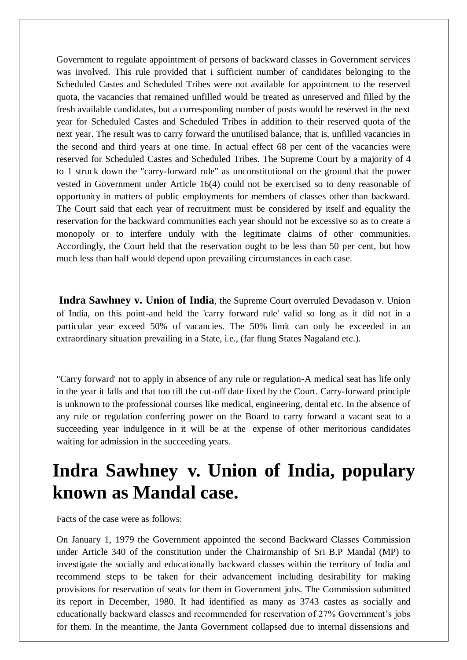Government to regulate appointment of persons of backward classes in Government services was involved. This rule provided that i sufficient number of candidates belonging to the Scheduled Castes and Scheduled Tribes were not available for appointment to the reserved quota, the vacancies that remained unfilled would be treated as unreserved and filled by the fresh available candidates, but a corresponding number of posts would be reserved in the next year for Scheduled Castes and Scheduled Tribes in addition to their reserved quota of the next year. The result was to carry forward the unutilised balance, that is, unfilled vacancies in the second and third years at one time. In actual effect 68 per cent of the vacancies were reserved for Scheduled Castes and Scheduled Tribes. The Supreme Court by a majority of 4 to 1 struck down the "carry-forward rule" as unconstitutional on the ground that the power vested in Government under Article 16(4) could not be exercised so to deny reasonable of opportunity in matters of public employments for members of classes other than backward. The Court said that each year of recruitment must be considered by itself and equality the reservation for the backward communities each year should not be excessive so as to create a monopoly or to interfere unduly with the legitimate claims of other communities. Accordingly, the Court held that the reservation ought to be less than 50 per cent, but how much less than half would depend upon prevailing circumstances in each case.

**Indra Sawhney v. Union of India**, the Supreme Court overruled Devadason v. Union of India, on this point-and held the 'carry forward rule' valid so long as it did not in a particular year exceed 50% of vacancies. The 50% limit can only be exceeded in an extraordinary situation prevailing in a State, i.e., (far flung States Nagaland etc.).

"Carry forward' not to apply in absence of any rule or regulation-A medical seat has life only in the year it falls and that too till the cut-off date fixed by the Court. Carry-forward principle is unknown to the professional courses like medical, engineering, dental etc. In the absence of any rule or regulation conferring power on the Board to carry forward a vacant seat to a succeeding year indulgence in it will be at the expense of other meritorious candidates waiting for admission in the succeeding years.

## **Indra Sawhney v. Union of India, populary known as Mandal case.**

Facts of the case were as follows:

On January 1, 1979 the Government appointed the second Backward Classes Commission under Article 340 of the constitution under the Chairmanship of Sri B.P Mandal (MP) to investigate the socially and educationally backward classes within the territory of India and recommend steps to be taken for their advancement including desirability for making provisions for reservation of seats for them in Government jobs. The Commission submitted its report in December, 1980. It had identified as many as 3743 castes as socially and educationally backward classes and recommended for reservation of 27% Government's jobs for them. In the meantime, the Janta Government collapsed due to internal dissensions and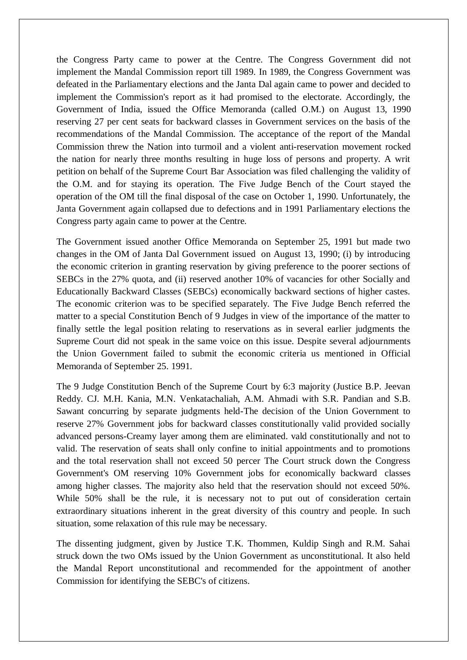the Congress Party came to power at the Centre. The Congress Government did not implement the Mandal Commission report till 1989. In 1989, the Congress Government was defeated in the Parliamentary elections and the Janta Dal again came to power and decided to implement the Commission's report as it had promised to the electorate. Accordingly, the Government of India, issued the Office Memoranda (called O.M.) on August 13, 1990 reserving 27 per cent seats for backward classes in Government services on the basis of the recommendations of the Mandal Commission. The acceptance of the report of the Mandal Commission threw the Nation into turmoil and a violent anti-reservation movement rocked the nation for nearly three months resulting in huge loss of persons and property. A writ petition on behalf of the Supreme Court Bar Association was filed challenging the validity of the O.M. and for staying its operation. The Five Judge Bench of the Court stayed the operation of the OM till the final disposal of the case on October 1, 1990. Unfortunately, the Janta Government again collapsed due to defections and in 1991 Parliamentary elections the Congress party again came to power at the Centre.

The Government issued another Office Memoranda on September 25, 1991 but made two changes in the OM of Janta Dal Government issued on August 13, 1990; (i) by introducing the economic criterion in granting reservation by giving preference to the poorer sections of SEBCs in the 27% quota, and (ii) reserved another 10% of vacancies for other Socially and Educationally Backward Classes (SEBCs) economically backward sections of higher castes. The economic criterion was to be specified separately. The Five Judge Bench referred the matter to a special Constitution Bench of 9 Judges in view of the importance of the matter to finally settle the legal position relating to reservations as in several earlier judgments the Supreme Court did not speak in the same voice on this issue. Despite several adjournments the Union Government failed to submit the economic criteria us mentioned in Official Memoranda of September 25. 1991.

The 9 Judge Constitution Bench of the Supreme Court by 6:3 majority (Justice B.P. Jeevan Reddy. CJ. M.H. Kania, M.N. Venkatachaliah, A.M. Ahmadi with S.R. Pandian and S.B. Sawant concurring by separate judgments held-The decision of the Union Government to reserve 27% Government jobs for backward classes constitutionally valid provided socially advanced persons-Creamy layer among them are eliminated. vald constitutionally and not to valid. The reservation of seats shall only confine to initial appointments and to promotions and the total reservation shall not exceed 50 percer The Court struck down the Congress Government's OM reserving 10% Government jobs for economically backward classes among higher classes. The majority also held that the reservation should not exceed 50%. While 50% shall be the rule, it is necessary not to put out of consideration certain extraordinary situations inherent in the great diversity of this country and people. In such situation, some relaxation of this rule may be necessary.

The dissenting judgment, given by Justice T.K. Thommen, Kuldip Singh and R.M. Sahai struck down the two OMs issued by the Union Government as unconstitutional. It also held the Mandal Report unconstitutional and recommended for the appointment of another Commission for identifying the SEBC's of citizens.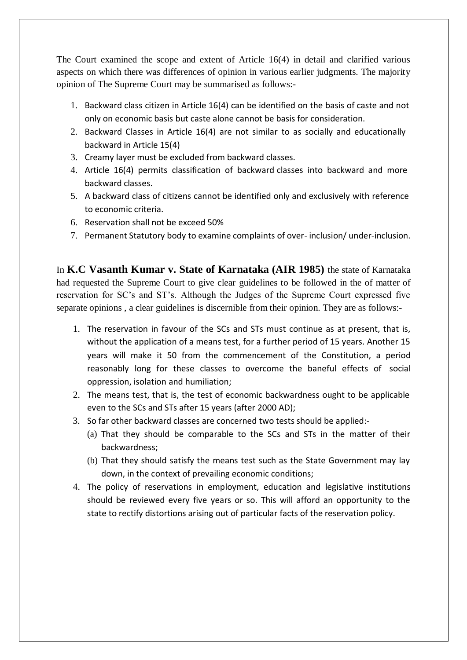The Court examined the scope and extent of Article 16(4) in detail and clarified various aspects on which there was differences of opinion in various earlier judgments. The majority opinion of The Supreme Court may be summarised as follows:-

- 1. Backward class citizen in Article 16(4) can be identified on the basis of caste and not only on economic basis but caste alone cannot be basis for consideration.
- 2. Backward Classes in Article 16(4) are not similar to as socially and educationally backward in Article 15(4)
- 3. Creamy layer must be excluded from backward classes.
- 4. Article 16(4) permits classification of backward classes into backward and more backward classes.
- 5. A backward class of citizens cannot be identified only and exclusively with reference to economic criteria.
- 6. Reservation shall not be exceed 50%
- 7. Permanent Statutory body to examine complaints of over- inclusion/ under-inclusion.

In **K.C Vasanth Kumar v. State of Karnataka (AIR 1985)** the state of Karnataka had requested the Supreme Court to give clear guidelines to be followed in the of matter of reservation for SC's and ST's. Although the Judges of the Supreme Court expressed five separate opinions , a clear guidelines is discernible from their opinion. They are as follows:-

- 1. The reservation in favour of the SCs and STs must continue as at present, that is, without the application of a means test, for a further period of 15 years. Another 15 years will make it 50 from the commencement of the Constitution, a period reasonably long for these classes to overcome the baneful effects of social oppression, isolation and humiliation;
- 2. The means test, that is, the test of economic backwardness ought to be applicable even to the SCs and STs after 15 years (after 2000 AD);
- 3. So far other backward classes are concerned two tests should be applied:-
	- (a) That they should be comparable to the SCs and STs in the matter of their backwardness;
	- (b) That they should satisfy the means test such as the State Government may lay down, in the context of prevailing economic conditions;
- 4. The policy of reservations in employment, education and legislative institutions should be reviewed every five years or so. This will afford an opportunity to the state to rectify distortions arising out of particular facts of the reservation policy.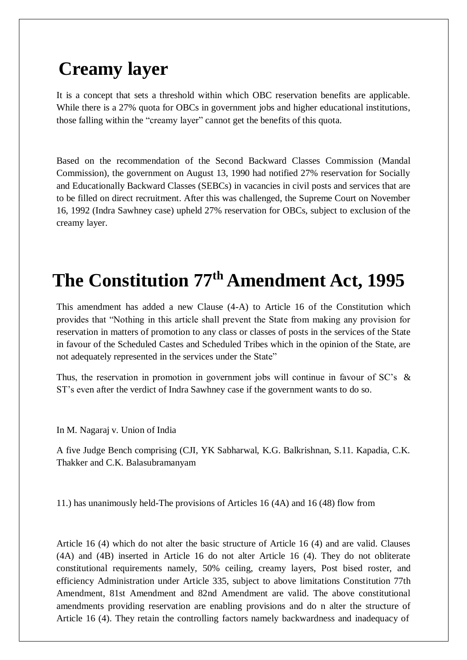## **Creamy layer**

It is a concept that sets a threshold within which OBC reservation benefits are applicable. While there is a 27% quota for OBCs in government jobs and higher educational institutions, those falling within the "creamy layer" cannot get the benefits of this quota.

Based on the recommendation of the Second Backward Classes Commission (Mandal Commission), the government on August 13, 1990 had notified 27% reservation for Socially and Educationally Backward Classes (SEBCs) in vacancies in civil posts and services that are to be filled on direct recruitment. After this was challenged, the Supreme Court on November 16, 1992 (Indra Sawhney case) upheld 27% reservation for OBCs, subject to exclusion of the creamy layer.

# **The Constitution 77th Amendment Act, 1995**

This amendment has added a new Clause (4-A) to Article 16 of the Constitution which provides that "Nothing in this article shall prevent the State from making any provision for reservation in matters of promotion to any class or classes of posts in the services of the State in favour of the Scheduled Castes and Scheduled Tribes which in the opinion of the State, are not adequately represented in the services under the State"

Thus, the reservation in promotion in government jobs will continue in favour of SC's & ST's even after the verdict of Indra Sawhney case if the government wants to do so.

In M. Nagaraj v. Union of India

A five Judge Bench comprising (CJI, YK Sabharwal, K.G. Balkrishnan, S.11. Kapadia, C.K. Thakker and C.K. Balasubramanyam

11.) has unanimously held-The provisions of Articles 16 (4A) and 16 (48) flow from

Article 16 (4) which do not alter the basic structure of Article 16 (4) and are valid. Clauses (4A) and (4B) inserted in Article 16 do not alter Article 16 (4). They do not obliterate constitutional requirements namely, 50% ceiling, creamy layers, Post bised roster, and efficiency Administration under Article 335, subject to above limitations Constitution 77th Amendment, 81st Amendment and 82nd Amendment are valid. The above constitutional amendments providing reservation are enabling provisions and do n alter the structure of Article 16 (4). They retain the controlling factors namely backwardness and inadequacy of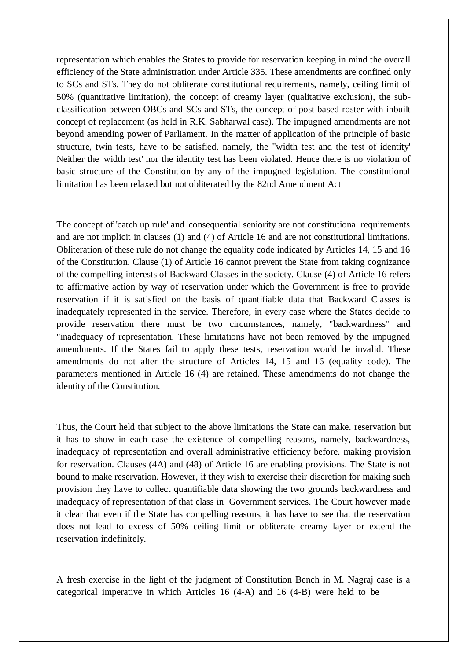representation which enables the States to provide for reservation keeping in mind the overall efficiency of the State administration under Article 335. These amendments are confined only to SCs and STs. They do not obliterate constitutional requirements, namely, ceiling limit of 50% (quantitative limitation), the concept of creamy layer (qualitative exclusion), the subclassification between OBCs and SCs and STs, the concept of post based roster with inbuilt concept of replacement (as held in R.K. Sabharwal case). The impugned amendments are not beyond amending power of Parliament. In the matter of application of the principle of basic structure, twin tests, have to be satisfied, namely, the "width test and the test of identity' Neither the 'width test' nor the identity test has been violated. Hence there is no violation of basic structure of the Constitution by any of the impugned legislation. The constitutional limitation has been relaxed but not obliterated by the 82nd Amendment Act

The concept of 'catch up rule' and 'consequential seniority are not constitutional requirements and are not implicit in clauses (1) and (4) of Article 16 and are not constitutional limitations. Obliteration of these rule do not change the equality code indicated by Articles 14, 15 and 16 of the Constitution. Clause (1) of Article 16 cannot prevent the State from taking cognizance of the compelling interests of Backward Classes in the society. Clause (4) of Article 16 refers to affirmative action by way of reservation under which the Government is free to provide reservation if it is satisfied on the basis of quantifiable data that Backward Classes is inadequately represented in the service. Therefore, in every case where the States decide to provide reservation there must be two circumstances, namely, "backwardness" and "inadequacy of representation. These limitations have not been removed by the impugned amendments. If the States fail to apply these tests, reservation would be invalid. These amendments do not alter the structure of Articles 14, 15 and 16 (equality code). The parameters mentioned in Article 16 (4) are retained. These amendments do not change the identity of the Constitution.

Thus, the Court held that subject to the above limitations the State can make. reservation but it has to show in each case the existence of compelling reasons, namely, backwardness, inadequacy of representation and overall administrative efficiency before. making provision for reservation. Clauses (4A) and (48) of Article 16 are enabling provisions. The State is not bound to make reservation. However, if they wish to exercise their discretion for making such provision they have to collect quantifiable data showing the two grounds backwardness and inadequacy of representation of that class in Government services. The Court however made it clear that even if the State has compelling reasons, it has have to see that the reservation does not lead to excess of 50% ceiling limit or obliterate creamy layer or extend the reservation indefinitely.

A fresh exercise in the light of the judgment of Constitution Bench in M. Nagraj case is a categorical imperative in which Articles 16 (4-A) and 16 (4-B) were held to be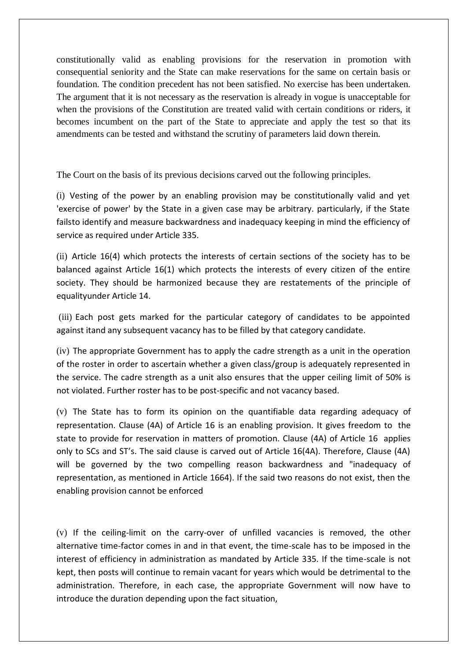constitutionally valid as enabling provisions for the reservation in promotion with consequential seniority and the State can make reservations for the same on certain basis or foundation. The condition precedent has not been satisfied. No exercise has been undertaken. The argument that it is not necessary as the reservation is already in vogue is unacceptable for when the provisions of the Constitution are treated valid with certain conditions or riders, it becomes incumbent on the part of the State to appreciate and apply the test so that its amendments can be tested and withstand the scrutiny of parameters laid down therein.

The Court on the basis of its previous decisions carved out the following principles.

(i) Vesting of the power by an enabling provision may be constitutionally valid and yet 'exercise of power' by the State in a given case may be arbitrary. particularly, if the State failsto identify and measure backwardness and inadequacy keeping in mind the efficiency of service as required under Article 335.

(ii) Article 16(4) which protects the interests of certain sections of the society has to be balanced against Article 16(1) which protects the interests of every citizen of the entire society. They should be harmonized because they are restatements of the principle of equalityunder Article 14.

(iii) Each post gets marked for the particular category of candidates to be appointed against itand any subsequent vacancy has to be filled by that category candidate.

(iv) The appropriate Government has to apply the cadre strength as a unit in the operation of the roster in order to ascertain whether a given class/group is adequately represented in the service. The cadre strength as a unit also ensures that the upper ceiling limit of 50% is not violated. Further roster has to be post-specific and not vacancy based.

(v) The State has to form its opinion on the quantifiable data regarding adequacy of representation. Clause (4A) of Article 16 is an enabling provision. It gives freedom to the state to provide for reservation in matters of promotion. Clause (4A) of Article 16 applies only to SCs and ST's. The said clause is carved out of Article 16(4A). Therefore, Clause (4A) will be governed by the two compelling reason backwardness and "inadequacy of representation, as mentioned in Article 1664). If the said two reasons do not exist, then the enabling provision cannot be enforced

(v) If the ceiling-limit on the carry-over of unfilled vacancies is removed, the other alternative time-factor comes in and in that event, the time-scale has to be imposed in the interest of efficiency in administration as mandated by Article 335. If the time-scale is not kept, then posts will continue to remain vacant for years which would be detrimental to the administration. Therefore, in each case, the appropriate Government will now have to introduce the duration depending upon the fact situation,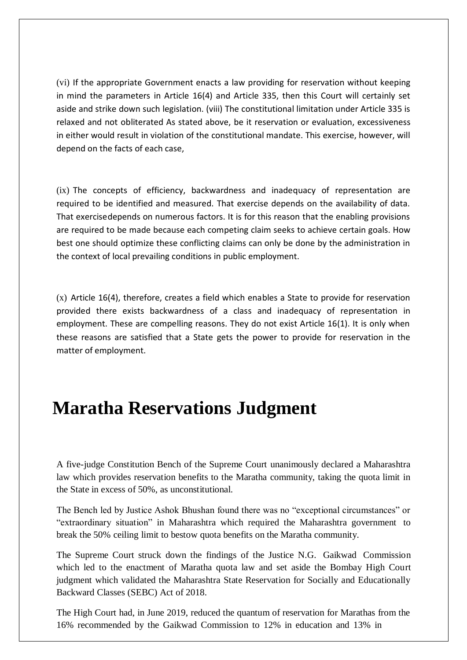(vi) If the appropriate Government enacts a law providing for reservation without keeping in mind the parameters in Article 16(4) and Article 335, then this Court will certainly set aside and strike down such legislation. (viii) The constitutional limitation under Article 335 is relaxed and not obliterated As stated above, be it reservation or evaluation, excessiveness in either would result in violation of the constitutional mandate. This exercise, however, will depend on the facts of each case,

(ix) The concepts of efficiency, backwardness and inadequacy of representation are required to be identified and measured. That exercise depends on the availability of data. That exercisedepends on numerous factors. It is for this reason that the enabling provisions are required to be made because each competing claim seeks to achieve certain goals. How best one should optimize these conflicting claims can only be done by the administration in the context of local prevailing conditions in public employment.

(x) Article 16(4), therefore, creates a field which enables a State to provide for reservation provided there exists backwardness of a class and inadequacy of representation in employment. These are compelling reasons. They do not exist Article 16(1). It is only when these reasons are satisfied that a State gets the power to provide for reservation in the matter of employment.

## **Maratha Reservations Judgment**

A five-judge Constitution Bench of the Supreme Court unanimously declared a Maharashtra law which provides reservation benefits to the Maratha community, taking the quota limit in the State in excess of 50%, as unconstitutional.

The Bench led by Justice Ashok Bhushan found there was no "exceptional circumstances" or "extraordinary situation" in Maharashtra which required the Maharashtra government to break the 50% ceiling limit to bestow quota benefits on the Maratha community.

The Supreme Court struck down the findings of the Justice N.G. Gaikwad Commission which led to the enactment of Maratha quota law and set aside the Bombay High Court judgment which validated the Maharashtra State Reservation for Socially and Educationally Backward Classes (SEBC) Act of 2018.

The High Court had, in June 2019, reduced the quantum of reservation for Marathas from the 16% recommended by the Gaikwad Commission to 12% in education and 13% in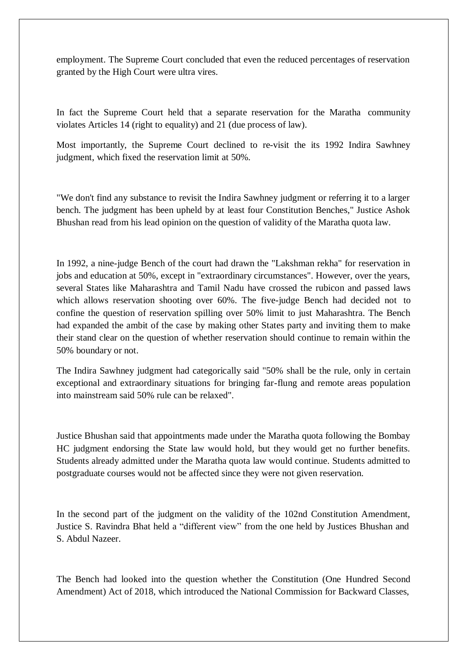employment. The Supreme Court concluded that even the reduced percentages of reservation granted by the High Court were ultra vires.

In fact the Supreme Court held that a separate reservation for the Maratha community violates Articles 14 (right to equality) and 21 (due process of law).

Most importantly, the Supreme Court declined to re-visit the its 1992 Indira Sawhney judgment, which fixed the reservation limit at 50%.

"We don't find any substance to revisit the Indira Sawhney judgment or referring it to a larger bench. The judgment has been upheld by at least four Constitution Benches," Justice Ashok Bhushan read from his lead opinion on the question of validity of the Maratha quota law.

In 1992, a nine-judge Bench of the court had drawn the "Lakshman rekha" for reservation in jobs and education at 50%, except in "extraordinary circumstances". However, over the years, several States like Maharashtra and Tamil Nadu have crossed the rubicon and passed laws which allows reservation shooting over 60%. The five-judge Bench had decided not to confine the question of reservation spilling over 50% limit to just Maharashtra. The Bench had expanded the ambit of the case by making other States party and inviting them to make their stand clear on the question of whether reservation should continue to remain within the 50% boundary or not.

The Indira Sawhney judgment had categorically said "50% shall be the rule, only in certain exceptional and extraordinary situations for bringing far-flung and remote areas population into mainstream said 50% rule can be relaxed".

Justice Bhushan said that appointments made under the Maratha quota following the Bombay HC judgment endorsing the State law would hold, but they would get no further benefits. Students already admitted under the Maratha quota law would continue. Students admitted to postgraduate courses would not be affected since they were not given reservation.

In the second part of the judgment on the validity of the 102nd Constitution Amendment, Justice S. Ravindra Bhat held a "different view" from the one held by Justices Bhushan and S. Abdul Nazeer.

The Bench had looked into the question whether the Constitution (One Hundred Second Amendment) Act of 2018, which introduced the National Commission for Backward Classes,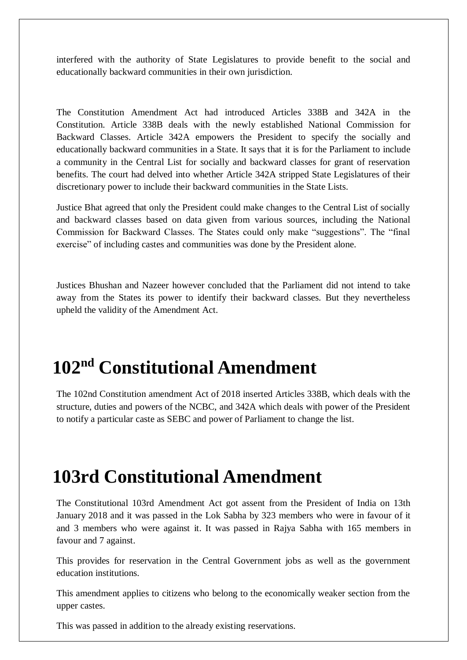interfered with the authority of State Legislatures to provide benefit to the social and educationally backward communities in their own jurisdiction.

The Constitution Amendment Act had introduced Articles 338B and 342A in the Constitution. Article 338B deals with the newly established National Commission for Backward Classes. Article 342A empowers the President to specify the socially and educationally backward communities in a State. It says that it is for the Parliament to include a community in the Central List for socially and backward classes for grant of reservation benefits. The court had delved into whether Article 342A stripped State Legislatures of their discretionary power to include their backward communities in the State Lists.

Justice Bhat agreed that only the President could make changes to the Central List of socially and backward classes based on data given from various sources, including the National Commission for Backward Classes. The States could only make "suggestions". The "final exercise" of including castes and communities was done by the President alone.

Justices Bhushan and Nazeer however concluded that the Parliament did not intend to take away from the States its power to identify their backward classes. But they nevertheless upheld the validity of the Amendment Act.

## **102nd Constitutional Amendment**

The 102nd Constitution amendment Act of 2018 inserted Articles 338B, which deals with the structure, duties and powers of the NCBC, and 342A which deals with power of the President to notify a particular caste as SEBC and power of Parliament to change the list.

## **103rd Constitutional Amendment**

The Constitutional 103rd Amendment Act got assent from the President of India on 13th January 2018 and it was passed in the Lok Sabha by 323 members who were in favour of it and 3 members who were against it. It was passed in Rajya Sabha with 165 members in favour and 7 against.

This provides for reservation in the Central Government jobs as well as the government education institutions.

This amendment applies to citizens who belong to the economically weaker section from the upper castes.

This was passed in addition to the already existing reservations.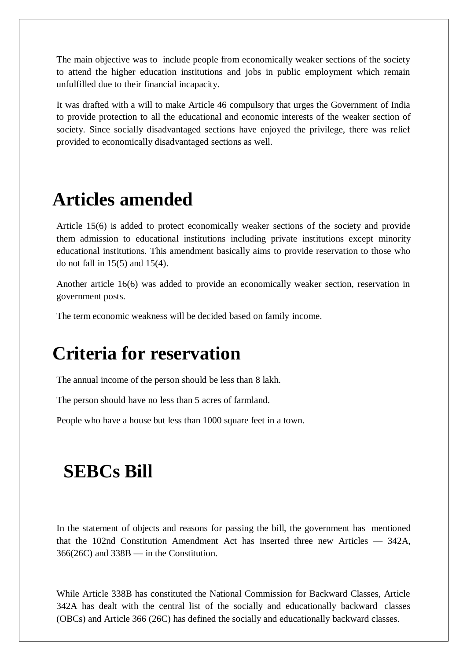The main objective was to include people from economically weaker sections of the society to attend the higher education institutions and jobs in public employment which remain unfulfilled due to their financial incapacity.

It was drafted with a will to make Article 46 compulsory that urges the Government of India to provide protection to all the educational and economic interests of the weaker section of society. Since socially disadvantaged sections have enjoyed the privilege, there was relief provided to economically disadvantaged sections as well.

## **Articles amended**

Article 15(6) is added to protect economically weaker sections of the society and provide them admission to educational institutions including private institutions except minority educational institutions. This amendment basically aims to provide reservation to those who do not fall in 15(5) and 15(4).

Another article 16(6) was added to provide an economically weaker section, reservation in government posts.

The term economic weakness will be decided based on family income.

## **Criteria for reservation**

The annual income of the person should be less than 8 lakh.

The person should have no less than 5 acres of farmland.

People who have a house but less than 1000 square feet in a town.

### **SEBCs Bill**

In the statement of objects and reasons for passing the bill, the government has mentioned that the 102nd Constitution Amendment Act has inserted three new Articles — 342A, 366(26C) and 338B — in the Constitution.

While Article 338B has constituted the National Commission for Backward Classes, Article 342A has dealt with the central list of the socially and educationally backward classes (OBCs) and Article 366 (26C) has defined the socially and educationally backward classes.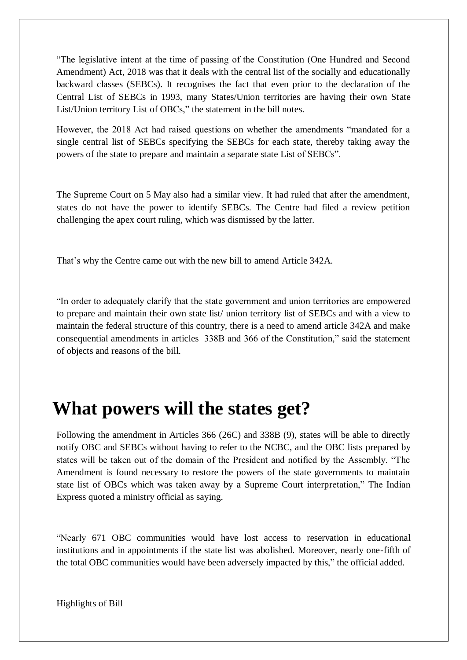"The legislative intent at the time of passing of the Constitution (One Hundred and Second Amendment) Act, 2018 was that it deals with the central list of the socially and educationally backward classes (SEBCs). It recognises the fact that even prior to the declaration of the Central List of SEBCs in 1993, many States/Union territories are having their own State List/Union territory List of OBCs," the statement in the bill notes.

However, the 2018 Act had raised questions on whether the amendments "mandated for a single central list of SEBCs specifying the SEBCs for each state, thereby taking away the powers of the state to prepare and maintain a separate state List of SEBCs".

The Supreme Court on 5 May also had a similar view. It had ruled that after the amendment, states do not have the power to identify SEBCs. The Centre had filed a review petition challenging the apex court ruling, which was dismissed by the latter.

That's why the Centre came out with the new bill to amend Article 342A.

"In order to adequately clarify that the state government and union territories are empowered to prepare and maintain their own state list/ union territory list of SEBCs and with a view to maintain the federal structure of this country, there is a need to amend article 342A and make consequential amendments in articles 338B and 366 of the Constitution," said the statement of objects and reasons of the bill.

## **What powers will the states get?**

Following the amendment in Articles 366 (26C) and 338B (9), states will be able to directly notify OBC and SEBCs without having to refer to the NCBC, and the OBC lists prepared by states will be taken out of the domain of the President and notified by the Assembly. "The Amendment is found necessary to restore the powers of the state governments to maintain state list of OBCs which was taken away by a Supreme Court interpretation," The Indian Express quoted a ministry official as saying.

"Nearly 671 OBC communities would have lost access to reservation in educational institutions and in appointments if the state list was abolished. Moreover, nearly one-fifth of the total OBC communities would have been adversely impacted by this," the official added.

Highlights of Bill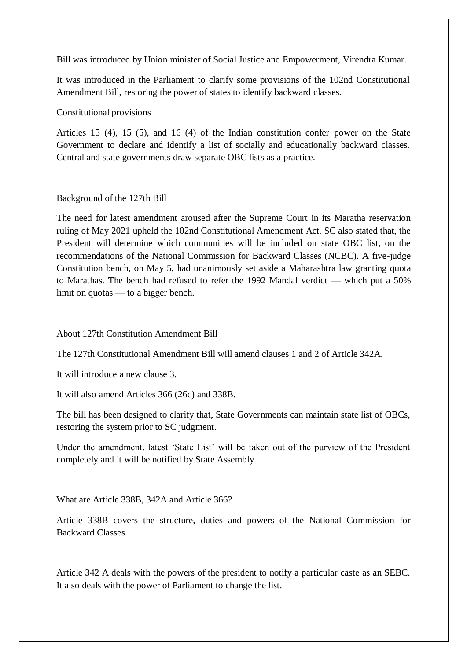Bill was introduced by Union minister of Social Justice and Empowerment, Virendra Kumar.

It was introduced in the Parliament to clarify some provisions of the 102nd Constitutional Amendment Bill, restoring the power of states to identify backward classes.

Constitutional provisions

Articles 15 (4), 15 (5), and 16 (4) of the Indian constitution confer power on the State Government to declare and identify a list of socially and educationally backward classes. Central and state governments draw separate OBC lists as a practice.

#### Background of the 127th Bill

The need for latest amendment aroused after the Supreme Court in its Maratha reservation ruling of May 2021 upheld the 102nd Constitutional Amendment Act. SC also stated that, the President will determine which communities will be included on state OBC list, on the recommendations of the National Commission for Backward Classes (NCBC). A five-judge Constitution bench, on May 5, had unanimously set aside a Maharashtra law granting quota to Marathas. The bench had refused to refer the 1992 Mandal verdict — which put a 50% limit on quotas — to a bigger bench.

#### About 127th Constitution Amendment Bill

The 127th Constitutional Amendment Bill will amend clauses 1 and 2 of Article 342A.

It will introduce a new clause 3.

It will also amend Articles 366 (26c) and 338B.

The bill has been designed to clarify that, State Governments can maintain state list of OBCs, restoring the system prior to SC judgment.

Under the amendment, latest 'State List' will be taken out of the purview of the President completely and it will be notified by State Assembly

What are Article 338B, 342A and Article 366?

Article 338B covers the structure, duties and powers of the National Commission for Backward Classes.

Article 342 A deals with the powers of the president to notify a particular caste as an SEBC. It also deals with the power of Parliament to change the list.